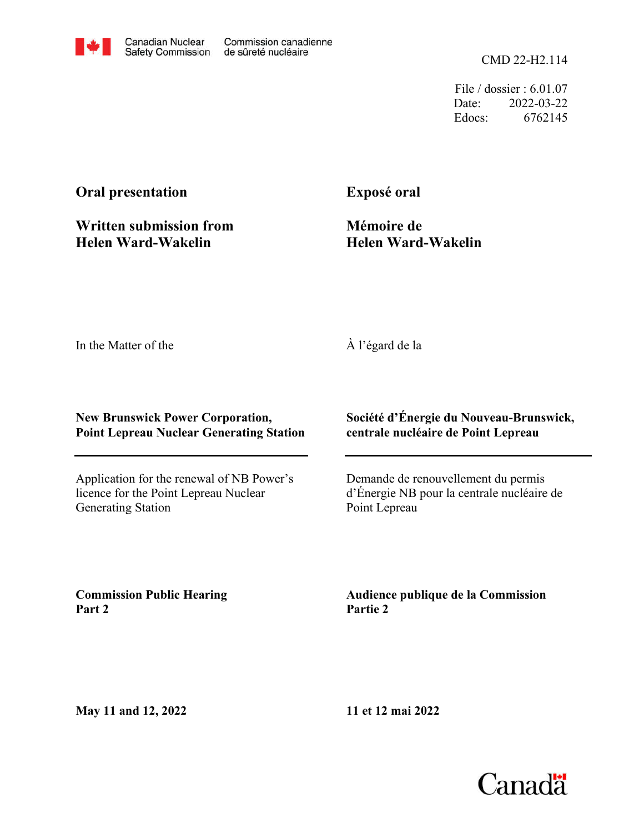CMD 22-H2.114

File / dossier : 6.01.07 Date: 2022-03-22 Edocs: 6762145

# **Oral presentation**

**Written submission from Helen Ward-Wakelin**

**Exposé oral**

**Mémoire de Helen Ward-Wakelin**

In the Matter of the

## À l'égard de la

### **New Brunswick Power Corporation, Point Lepreau Nuclear Generating Station**

Application for the renewal of NB Power's licence for the Point Lepreau Nuclear Generating Station

### **Société d'Énergie du Nouveau-Brunswick, centrale nucléaire de Point Lepreau**

Demande de renouvellement du permis d'Énergie NB pour la centrale nucléaire de Point Lepreau

**Commission Public Hearing Part 2**

**Audience publique de la Commission Partie 2**

**May 11 and 12, 2022**

**11 et 12 mai 2022**